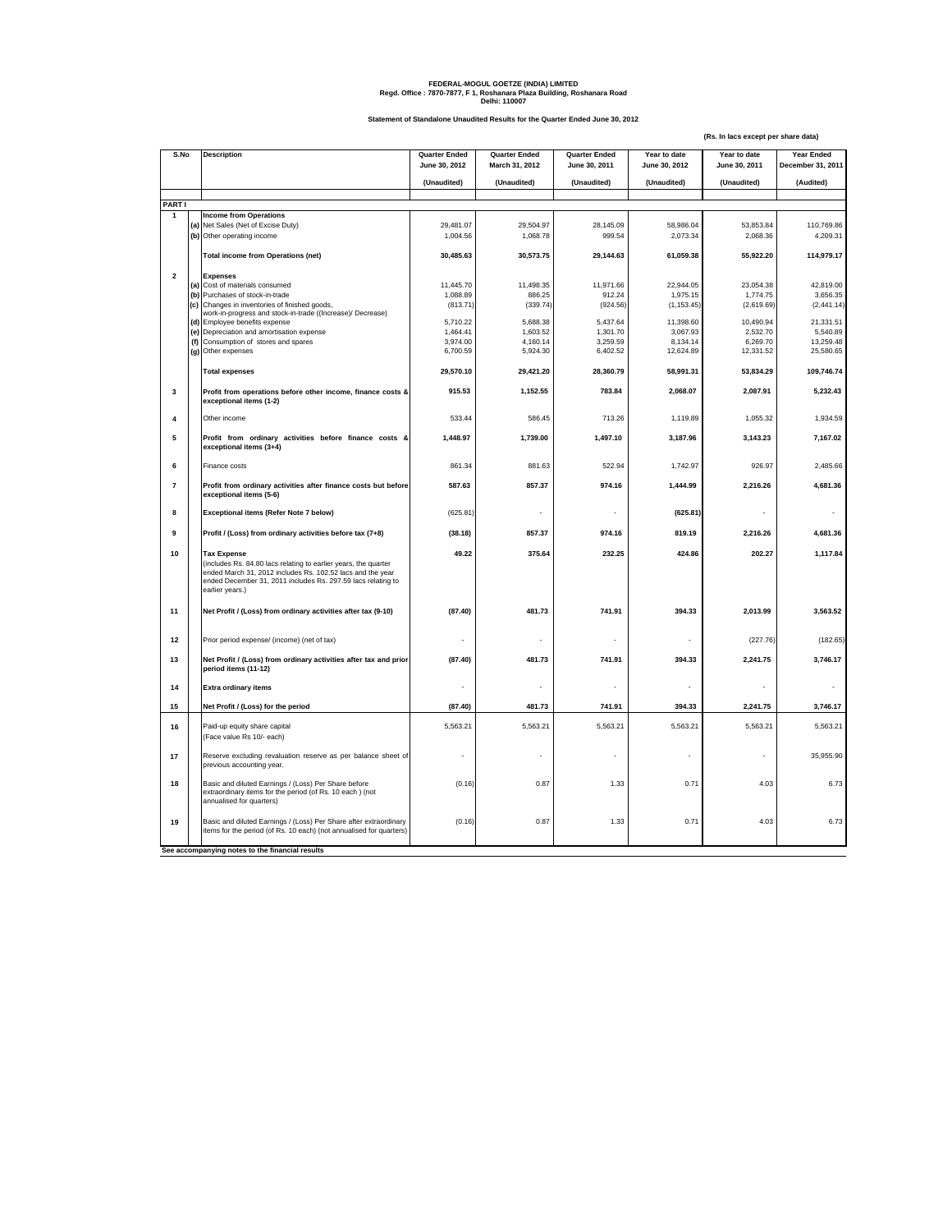## **FEDERAL-MOGUL GOETZE (INDIA) LIMITED Regd. Office : 7870-7877, F 1, Roshanara Plaza Building, Roshanara Road Delhi: 110007**

**Statement of Standalone Unaudited Results for the Quarter Ended June 30, 2012**

**(Rs. In lacs except per share data)**

| S.No                    |                                                 | <b>Description</b>                                                                                                                                                                                                                     | <b>Quarter Ended</b><br>June 30, 2012 | <b>Quarter Ended</b><br>March 31, 2012 | <b>Quarter Ended</b><br>June 30, 2011 | Year to date<br>June 30, 2012 | Year to date<br>June 30, 2011 | <b>Year Ended</b><br>December 31, 2011 |
|-------------------------|-------------------------------------------------|----------------------------------------------------------------------------------------------------------------------------------------------------------------------------------------------------------------------------------------|---------------------------------------|----------------------------------------|---------------------------------------|-------------------------------|-------------------------------|----------------------------------------|
|                         |                                                 |                                                                                                                                                                                                                                        | (Unaudited)                           | (Unaudited)                            | (Unaudited)                           | (Unaudited)                   | (Unaudited)                   | (Audited)                              |
| <b>PARTI</b>            |                                                 |                                                                                                                                                                                                                                        |                                       |                                        |                                       |                               |                               |                                        |
| $\mathbf{1}$            | <b>Income from Operations</b>                   |                                                                                                                                                                                                                                        |                                       |                                        |                                       |                               |                               |                                        |
|                         |                                                 | (a) Net Sales (Net of Excise Duty)                                                                                                                                                                                                     | 29.481.07                             | 29.504.97                              | 28.145.09                             | 58.986.04                     | 53.853.84                     | 110,769.86                             |
|                         |                                                 | (b) Other operating income                                                                                                                                                                                                             | 1,004.56                              | 1,068.78                               | 999.54                                | 2,073.34                      | 2,068.36                      | 4,209.31                               |
|                         |                                                 |                                                                                                                                                                                                                                        |                                       |                                        |                                       |                               |                               |                                        |
|                         |                                                 | <b>Total income from Operations (net)</b>                                                                                                                                                                                              | 30,485.63                             | 30,573.75                              | 29,144.63                             | 61,059.38                     | 55,922.20                     | 114,979.17                             |
| $\overline{2}$          |                                                 | <b>Expenses</b>                                                                                                                                                                                                                        |                                       |                                        |                                       |                               |                               |                                        |
|                         |                                                 | (a) Cost of materials consumed                                                                                                                                                                                                         | 11,445.70                             | 11,498.35                              | 11,971.66                             | 22,944.05                     | 23,054.38                     | 42,819.00                              |
|                         | (b)                                             | Purchases of stock-in-trade                                                                                                                                                                                                            | 1,088.89                              | 886.25                                 | 912.24                                | 1,975.15                      | 1,774.75                      | 3,656.35                               |
|                         | (c)                                             | Changes in inventories of finished goods,                                                                                                                                                                                              | (813.71)                              | (339.74)                               | (924.56)                              | (1, 153.45)                   | (2,619.69)                    | (2, 441.14)                            |
|                         |                                                 | work-in-progress and stock-in-trade ((Increase)/ Decrease)                                                                                                                                                                             |                                       |                                        |                                       |                               |                               |                                        |
|                         |                                                 | (d) Employee benefits expense                                                                                                                                                                                                          | 5,710.22                              | 5,688.38                               | 5,437.64                              | 11,398.60                     | 10,490.94                     | 21,331.51                              |
|                         |                                                 | (e) Depreciation and amortisation expense                                                                                                                                                                                              | 1,464.41                              | 1,603.52                               | 1,301.70                              | 3,067.93                      | 2,532.70                      | 5,540.89                               |
|                         | (f)                                             | Consumption of stores and spares                                                                                                                                                                                                       | 3,974.00                              | 4,160.14                               | 3,259.59                              | 8,134.14                      | 6,269.70                      | 13,259.48                              |
|                         |                                                 | (g) Other expenses                                                                                                                                                                                                                     | 6,700.59                              | 5,924.30                               | 6,402.52                              | 12,624.89                     | 12,331.52                     | 25,580.65                              |
|                         |                                                 | <b>Total expenses</b>                                                                                                                                                                                                                  | 29,570.10                             | 29,421.20                              | 28,360.79                             | 58,991.31                     | 53,834.29                     | 109,746.74                             |
| $\overline{\mathbf{3}}$ |                                                 |                                                                                                                                                                                                                                        | 915.53                                |                                        | 783.84                                | 2.068.07                      | 2.087.91                      | 5.232.43                               |
|                         |                                                 | Profit from operations before other income, finance costs &<br>exceptional items (1-2)                                                                                                                                                 |                                       | 1,152.55                               |                                       |                               |                               |                                        |
| $\overline{4}$          |                                                 | Other income                                                                                                                                                                                                                           | 533.44                                | 586.45                                 | 713.26                                | 1,119.89                      | 1,055.32                      | 1,934.59                               |
| 5                       |                                                 | Profit from ordinary activities before finance costs &<br>exceptional items (3+4)                                                                                                                                                      | 1,448.97                              | 1,739.00                               | 1,497.10                              | 3,187.96                      | 3,143.23                      | 7,167.02                               |
| 6                       |                                                 | Finance costs                                                                                                                                                                                                                          | 861.34                                | 881.63                                 | 522.94                                | 1,742.97                      | 926.97                        | 2,485.66                               |
| $\overline{7}$          |                                                 | Profit from ordinary activities after finance costs but before<br>exceptional items (5-6)                                                                                                                                              | 587.63                                | 857.37                                 | 974.16                                | 1,444.99                      | 2,216.26                      | 4,681.36                               |
| 8                       |                                                 | <b>Exceptional items (Refer Note 7 below)</b>                                                                                                                                                                                          | (625.81)                              |                                        |                                       | (625.81)                      |                               |                                        |
| 9                       |                                                 | Profit / (Loss) from ordinary activities before tax (7+8)                                                                                                                                                                              | (38.18)                               | 857.37                                 | 974.16                                | 819.19                        | 2,216.26                      | 4,681.36                               |
| 10                      |                                                 | <b>Tax Expense</b><br>(includes Rs. 84.80 lacs relating to earlier years, the quarter<br>ended March 31, 2012 includes Rs. 102.52 lacs and the year<br>ended December 31, 2011 includes Rs. 297.59 lacs relating to<br>earlier years.) | 49.22                                 | 375.64                                 | 232.25                                | 424.86                        | 202.27                        | 1,117.84                               |
| 11                      |                                                 | Net Profit / (Loss) from ordinary activities after tax (9-10)                                                                                                                                                                          | (87.40)                               | 481.73                                 | 741.91                                | 394.33                        | 2,013.99                      | 3,563.52                               |
| 12                      |                                                 | Prior period expense/ (income) (net of tax)                                                                                                                                                                                            |                                       |                                        |                                       |                               | (227.76)                      | (182.65)                               |
| 13                      |                                                 | Net Profit / (Loss) from ordinary activities after tax and prior<br>period items (11-12)                                                                                                                                               | (87.40)                               | 481.73                                 | 741.91                                | 394.33                        | 2,241.75                      | 3,746.17                               |
| 14                      |                                                 | <b>Extra ordinary items</b>                                                                                                                                                                                                            |                                       |                                        |                                       |                               |                               |                                        |
| 15                      |                                                 | Net Profit / (Loss) for the period                                                                                                                                                                                                     | (87.40)                               | 481.73                                 | 741.91                                | 394.33                        | 2,241.75                      | 3,746.17                               |
|                         |                                                 |                                                                                                                                                                                                                                        |                                       |                                        |                                       |                               |                               |                                        |
| 16                      |                                                 | Paid-up equity share capital                                                                                                                                                                                                           | 5,563.21                              | 5,563.21                               | 5,563.21                              | 5,563.21                      | 5,563.21                      | 5,563.21                               |
|                         |                                                 | (Face value Rs 10/- each)                                                                                                                                                                                                              |                                       |                                        |                                       |                               |                               |                                        |
| 17                      |                                                 | Reserve excluding revaluation reserve as per balance sheet of<br>previous accounting year.                                                                                                                                             |                                       |                                        |                                       |                               |                               | 35,955.90                              |
| 18                      |                                                 | Basic and diluted Earnings / (Loss) Per Share before<br>extraordinary items for the period (of Rs. 10 each) (not<br>annualised for quarters)                                                                                           | (0.16)                                | 0.87                                   | 1.33                                  | 0.71                          | 4.03                          | 6.73                                   |
| 19                      |                                                 | Basic and diluted Earnings / (Loss) Per Share after extraordinary<br>items for the period (of Rs. 10 each) (not annualised for quarters)                                                                                               | (0.16)                                | 0.87                                   | 1.33                                  | 0.71                          | 4.03                          | 6.73                                   |
|                         | See accompanying notes to the financial results |                                                                                                                                                                                                                                        |                                       |                                        |                                       |                               |                               |                                        |